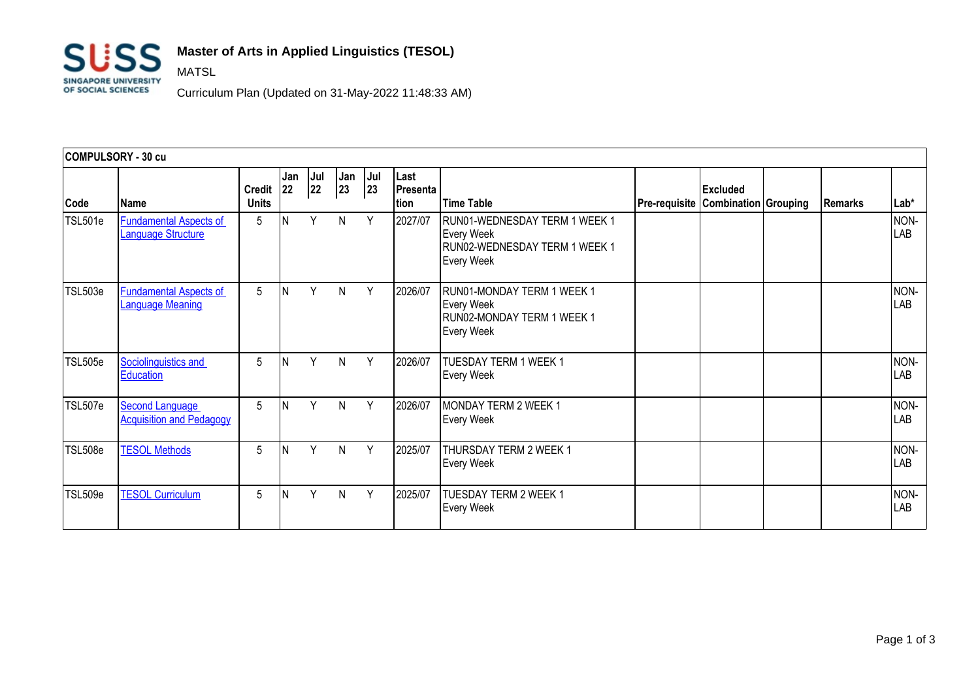

MATSL

## **Master of Arts in Applied Linguistics (TESOL)**

Curriculum Plan (Updated on 31-May-2022 11:48:33 AM)

| <b>COMPULSORY - 30 cu</b> |                                                           |                               |            |           |           |           |                          |                                                                                                          |                      |                                                |         |                    |
|---------------------------|-----------------------------------------------------------|-------------------------------|------------|-----------|-----------|-----------|--------------------------|----------------------------------------------------------------------------------------------------------|----------------------|------------------------------------------------|---------|--------------------|
| Code                      | Name                                                      | <b>Credit</b><br><b>Units</b> | Jan<br> 22 | Jul<br>22 | Jan<br>23 | Jul<br>23 | Last<br>Presenta<br>tion | <b>Time Table</b>                                                                                        | <b>Pre-requisite</b> | <b>Excluded</b><br><b>Combination Grouping</b> | Remarks | $Lab*$             |
| TSL501e                   | <b>Fundamental Aspects of</b><br>Language Structure       | 5                             | Ν          | Υ         | N         | Y         | 2027/07                  | RUN01-WEDNESDAY TERM 1 WEEK 1<br><b>Every Week</b><br>RUN02-WEDNESDAY TERM 1 WEEK 1<br><b>Every Week</b> |                      |                                                |         | NON-<br><b>LAB</b> |
| TSL503e                   | <b>Fundamental Aspects of</b><br><b>Language Meaning</b>  | 5                             | N          | Υ         | N         | Y         | 2026/07                  | RUN01-MONDAY TERM 1 WEEK 1<br><b>Every Week</b><br>RUN02-MONDAY TERM 1 WEEK 1<br><b>Every Week</b>       |                      |                                                |         | NON-<br>LAB        |
| TSL505e                   | Sociolinguistics and<br>Education                         | 5                             |            | Y         | N         | Y         | 2026/07                  | TUESDAY TERM 1 WEEK 1<br><b>Every Week</b>                                                               |                      |                                                |         | NON-<br>LAB        |
| TSL507e                   | <b>Second Language</b><br><b>Acquisition and Pedagogy</b> | 5                             |            | Υ         | N         | Y         | 2026/07                  | MONDAY TERM 2 WEEK 1<br><b>Every Week</b>                                                                |                      |                                                |         | NON-<br>LAB        |
| <b>TSL508e</b>            | <b>TESOL Methods</b>                                      | 5                             |            | Y         | N         | Y         | 2025/07                  | THURSDAY TERM 2 WEEK 1<br><b>Every Week</b>                                                              |                      |                                                |         | NON-<br>LAB        |
| TSL509e                   | <b>TESOL Curriculum</b>                                   | 5                             |            | Υ         | N         | Y         | 2025/07                  | TUESDAY TERM 2 WEEK 1<br><b>Every Week</b>                                                               |                      |                                                |         | NON-<br>LAB        |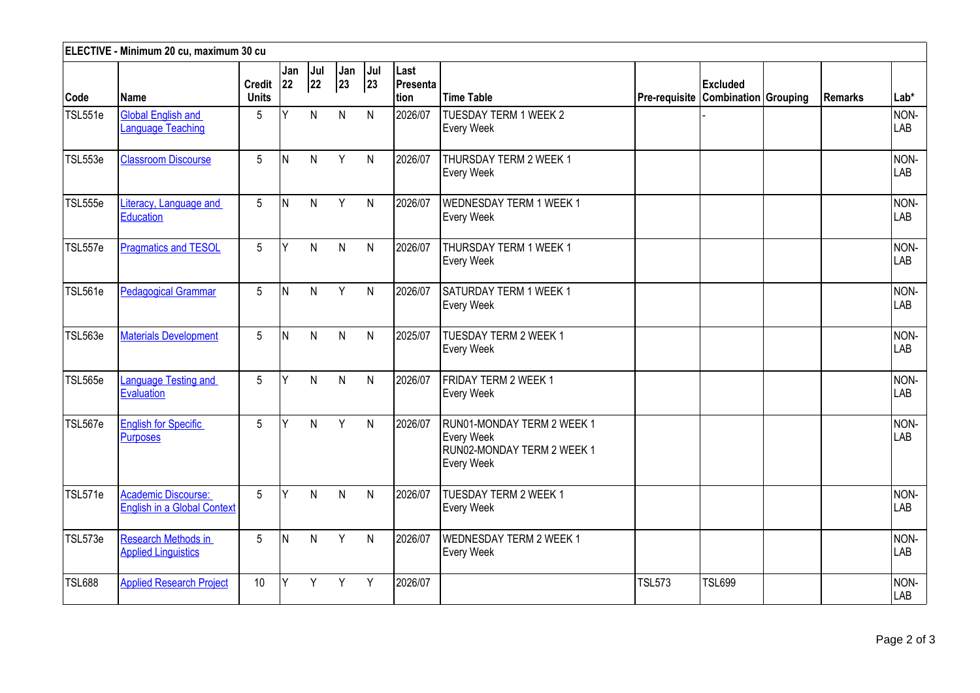| ELECTIVE - Minimum 20 cu, maximum 30 cu |                                                                  |                               |              |              |              |              |                           |                                                                                             |                                    |                 |         |             |
|-----------------------------------------|------------------------------------------------------------------|-------------------------------|--------------|--------------|--------------|--------------|---------------------------|---------------------------------------------------------------------------------------------|------------------------------------|-----------------|---------|-------------|
| Code                                    | Name                                                             | <b>Credit</b><br><b>Units</b> | Jan<br>22    | Jul<br>22    | Jan<br>23    | Jul<br>23    | Last<br>Presenta<br>ltion | <b>Time Table</b>                                                                           | Pre-requisite Combination Grouping | <b>Excluded</b> | Remarks | $Lab*$      |
| TSL551e                                 | <b>Global English and</b><br>Lanquage Teaching                   | 5                             | Y            | $\mathsf{N}$ | $\mathsf{N}$ | N            | 2026/07                   | <b>TUESDAY TERM 1 WEEK 2</b><br><b>Every Week</b>                                           |                                    |                 |         | NON-<br>LAB |
| TSL553e                                 | <b>Classroom Discourse</b>                                       | 5                             | IN.          | $\mathsf{N}$ | Y            | N            | 2026/07                   | THURSDAY TERM 2 WEEK 1<br><b>Every Week</b>                                                 |                                    |                 |         | NON-<br>LAB |
| <b>TSL555e</b>                          | Literacy, Language and<br>Education                              | $5\overline{)}$               | IN.          | $\mathsf{N}$ | Y            | $\mathsf{N}$ | 2026/07                   | <b>WEDNESDAY TERM 1 WEEK 1</b><br><b>Every Week</b>                                         |                                    |                 |         | NON-<br>LAB |
| TSL557e                                 | <b>Pragmatics and TESOL</b>                                      | 5                             | Y            | $\mathsf{N}$ | $\mathsf{N}$ | $\mathsf{N}$ | 2026/07                   | THURSDAY TERM 1 WEEK 1<br><b>Every Week</b>                                                 |                                    |                 |         | NON-<br>LAB |
| TSL561e                                 | <b>Pedagogical Grammar</b>                                       | 5                             | N            | $\mathsf{N}$ | Y            | $\mathsf{N}$ | 2026/07                   | SATURDAY TERM 1 WEEK 1<br>Every Week                                                        |                                    |                 |         | NON-<br>LAB |
| <b>TSL563e</b>                          | <b>Materials Development</b>                                     | 5                             | IN.          | $\mathsf{N}$ | $\mathsf{N}$ | $\mathsf{N}$ | 2025/07                   | <b>TUESDAY TERM 2 WEEK 1</b><br><b>Every Week</b>                                           |                                    |                 |         | NON-<br>LAB |
| TSL565e                                 | anguage Testing and<br>Evaluation                                | 5                             | Y            | N            | $\mathsf{N}$ | $\mathsf{N}$ | 2026/07                   | FRIDAY TERM 2 WEEK 1<br><b>Every Week</b>                                                   |                                    |                 |         | NON-<br>LAB |
| TSL567e                                 | <b>English for Specific</b><br><b>Purposes</b>                   | 5                             | $\mathsf{v}$ | $\mathsf{N}$ | Y            | $\mathsf{N}$ | 2026/07                   | RUN01-MONDAY TERM 2 WEEK 1<br><b>Every Week</b><br>RUN02-MONDAY TERM 2 WEEK 1<br>Every Week |                                    |                 |         | NON-<br>LAB |
| TSL571e                                 | <b>Academic Discourse:</b><br><b>English in a Global Context</b> | 5                             | Ý            | $\mathsf{N}$ | $\mathsf{N}$ | N            | 2026/07                   | <b>TUESDAY TERM 2 WEEK 1</b><br><b>Every Week</b>                                           |                                    |                 |         | NON-<br>LAB |
| TSL573e                                 | Research Methods in<br><b>Applied Linguistics</b>                | 5                             | <b>N</b>     | $\mathsf{N}$ | Y            | $\mathsf{N}$ | 2026/07                   | <b>WEDNESDAY TERM 2 WEEK 1</b><br><b>Every Week</b>                                         |                                    |                 |         | NON-<br>LAB |
| <b>TSL688</b>                           | <b>Applied Research Project</b>                                  | 10                            | Y            | Y            | Y            | Y            | 2026/07                   |                                                                                             | <b>TSL573</b>                      | TSL699          |         | NON-<br>LAB |